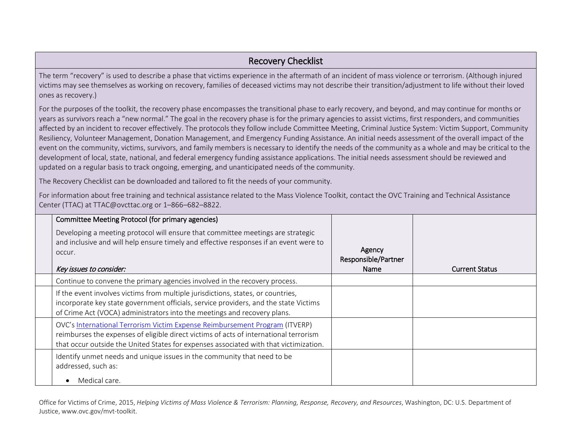## Recovery Checklist

The term "recovery" is used to describe a phase that victims experience in the aftermath of an incident of mass violence or terrorism. (Although injured victims may see themselves as working on recovery, families of deceased victims may not describe their transition/adjustment to life without their loved ones as recovery.)

For the purposes of the toolkit, the recovery phase encompasses the transitional phase to early recovery, and beyond, and may continue for months or years as survivors reach a "new normal." The goal in the recovery phase is for the primary agencies to assist victims, first responders, and communities affected by an incident to recover effectively. The protocols they follow include Committee Meeting, Criminal Justice System: Victim Support, Community Resiliency, Volunteer Management, Donation Management, and Emergency Funding Assistance. An initial needs assessment of the overall impact of the event on the community, victims, survivors, and family members is necessary to identify the needs of the community as a whole and may be critical to the development of local, state, national, and federal emergency funding assistance applications. The initial needs assessment should be reviewed and updated on a regular basis to track ongoing, emerging, and unanticipated needs of the community.

The Recovery Checklist can be downloaded and tailored to fit the needs of your community.

For information about free training and technical assistance related to the Mass Violence Toolkit, contact the OVC Training and Technical Assistance Center (TTAC) at [TTAC@ovcttac.org](mailto:TTAC@ovcttac.org) or 1–866–682–8822.

| Committee Meeting Protocol (for primary agencies)                                                                                                                                                                                                             |                                       |                       |
|---------------------------------------------------------------------------------------------------------------------------------------------------------------------------------------------------------------------------------------------------------------|---------------------------------------|-----------------------|
| Developing a meeting protocol will ensure that committee meetings are strategic<br>and inclusive and will help ensure timely and effective responses if an event were to<br>occur.<br>Key issues to consider:                                                 | Agency<br>Responsible/Partner<br>Name | <b>Current Status</b> |
| Continue to convene the primary agencies involved in the recovery process.                                                                                                                                                                                    |                                       |                       |
| If the event involves victims from multiple jurisdictions, states, or countries,<br>incorporate key state government officials, service providers, and the state Victims<br>of Crime Act (VOCA) administrators into the meetings and recovery plans.          |                                       |                       |
| OVC's International Terrorism Victim Expense Reimbursement Program (ITVERP)<br>reimburses the expenses of eligible direct victims of acts of international terrorism<br>that occur outside the United States for expenses associated with that victimization. |                                       |                       |
| Identify unmet needs and unique issues in the community that need to be<br>addressed, such as:<br>Medical care.                                                                                                                                               |                                       |                       |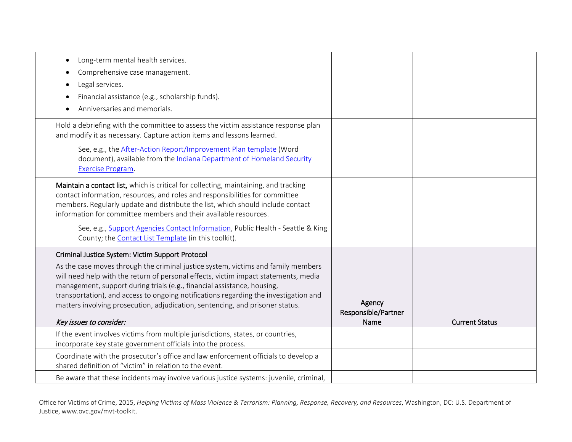| Long-term mental health services.<br>$\bullet$<br>Comprehensive case management.<br>$\bullet$<br>Legal services.<br>Financial assistance (e.g., scholarship funds).<br>Anniversaries and memorials.                                                                                                                                                                                                                                                                                                         |                                       |                       |
|-------------------------------------------------------------------------------------------------------------------------------------------------------------------------------------------------------------------------------------------------------------------------------------------------------------------------------------------------------------------------------------------------------------------------------------------------------------------------------------------------------------|---------------------------------------|-----------------------|
| Hold a debriefing with the committee to assess the victim assistance response plan<br>and modify it as necessary. Capture action items and lessons learned.<br>See, e.g., the After-Action Report/Improvement Plan template (Word<br>document), available from the Indiana Department of Homeland Security<br>Exercise Program.                                                                                                                                                                             |                                       |                       |
| Maintain a contact list, which is critical for collecting, maintaining, and tracking<br>contact information, resources, and roles and responsibilities for committee<br>members. Regularly update and distribute the list, which should include contact<br>information for committee members and their available resources.<br>See, e.g., Support Agencies Contact Information, Public Health - Seattle & King<br>County; the Contact List Template (in this toolkit).                                      |                                       |                       |
| Criminal Justice System: Victim Support Protocol<br>As the case moves through the criminal justice system, victims and family members<br>will need help with the return of personal effects, victim impact statements, media<br>management, support during trials (e.g., financial assistance, housing,<br>transportation), and access to ongoing notifications regarding the investigation and<br>matters involving prosecution, adjudication, sentencing, and prisoner status.<br>Key issues to consider: | Agency<br>Responsible/Partner<br>Name | <b>Current Status</b> |
| If the event involves victims from multiple jurisdictions, states, or countries,<br>incorporate key state government officials into the process.                                                                                                                                                                                                                                                                                                                                                            |                                       |                       |
| Coordinate with the prosecutor's office and law enforcement officials to develop a<br>shared definition of "victim" in relation to the event.                                                                                                                                                                                                                                                                                                                                                               |                                       |                       |
| Be aware that these incidents may involve various justice systems: juvenile, criminal,                                                                                                                                                                                                                                                                                                                                                                                                                      |                                       |                       |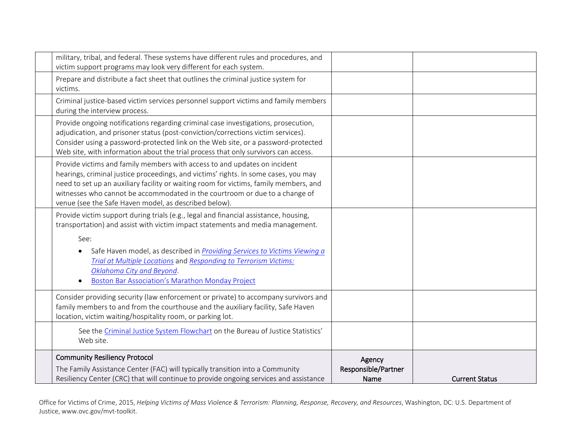| military, tribal, and federal. These systems have different rules and procedures, and<br>victim support programs may look very different for each system.                                                                                                                                                                                                                                         |                                       |                       |
|---------------------------------------------------------------------------------------------------------------------------------------------------------------------------------------------------------------------------------------------------------------------------------------------------------------------------------------------------------------------------------------------------|---------------------------------------|-----------------------|
| Prepare and distribute a fact sheet that outlines the criminal justice system for<br>victims.                                                                                                                                                                                                                                                                                                     |                                       |                       |
| Criminal justice-based victim services personnel support victims and family members<br>during the interview process.                                                                                                                                                                                                                                                                              |                                       |                       |
| Provide ongoing notifications regarding criminal case investigations, prosecution,<br>adjudication, and prisoner status (post-conviction/corrections victim services).<br>Consider using a password-protected link on the Web site, or a password-protected<br>Web site, with information about the trial process that only survivors can access.                                                 |                                       |                       |
| Provide victims and family members with access to and updates on incident<br>hearings, criminal justice proceedings, and victims' rights. In some cases, you may<br>need to set up an auxiliary facility or waiting room for victims, family members, and<br>witnesses who cannot be accommodated in the courtroom or due to a change of<br>venue (see the Safe Haven model, as described below). |                                       |                       |
| Provide victim support during trials (e.g., legal and financial assistance, housing,<br>transportation) and assist with victim impact statements and media management.                                                                                                                                                                                                                            |                                       |                       |
| See:<br>Safe Haven model, as described in <i>Providing Services to Victims Viewing a</i><br>Trial at Multiple Locations and Responding to Terrorism Victims:<br>Oklahoma City and Beyond.<br><b>Boston Bar Association's Marathon Monday Project</b>                                                                                                                                              |                                       |                       |
| Consider providing security (law enforcement or private) to accompany survivors and<br>family members to and from the courthouse and the auxiliary facility, Safe Haven<br>location, victim waiting/hospitality room, or parking lot.                                                                                                                                                             |                                       |                       |
| See the Criminal Justice System Flowchart on the Bureau of Justice Statistics'<br>Web site.                                                                                                                                                                                                                                                                                                       |                                       |                       |
| <b>Community Resiliency Protocol</b><br>The Family Assistance Center (FAC) will typically transition into a Community<br>Resiliency Center (CRC) that will continue to provide ongoing services and assistance                                                                                                                                                                                    | Agency<br>Responsible/Partner<br>Name | <b>Current Status</b> |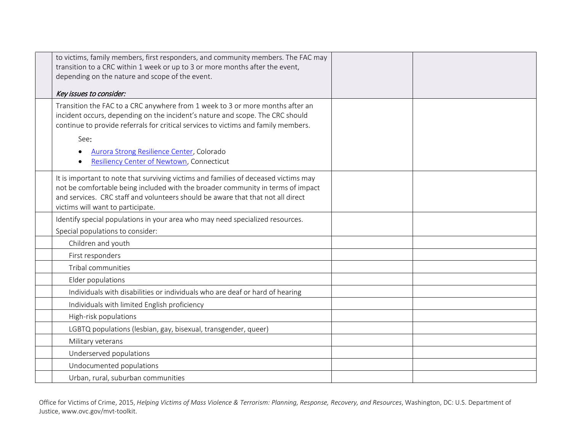| to victims, family members, first responders, and community members. The FAC may<br>transition to a CRC within 1 week or up to 3 or more months after the event,                                                                                                                               |  |
|------------------------------------------------------------------------------------------------------------------------------------------------------------------------------------------------------------------------------------------------------------------------------------------------|--|
| depending on the nature and scope of the event.                                                                                                                                                                                                                                                |  |
| Key issues to consider:                                                                                                                                                                                                                                                                        |  |
| Transition the FAC to a CRC anywhere from 1 week to 3 or more months after an<br>incident occurs, depending on the incident's nature and scope. The CRC should<br>continue to provide referrals for critical services to victims and family members.                                           |  |
| See:<br>Aurora Strong Resilience Center, Colorado<br>Resiliency Center of Newtown, Connecticut                                                                                                                                                                                                 |  |
| It is important to note that surviving victims and families of deceased victims may<br>not be comfortable being included with the broader community in terms of impact<br>and services. CRC staff and volunteers should be aware that that not all direct<br>victims will want to participate. |  |
| Identify special populations in your area who may need specialized resources.                                                                                                                                                                                                                  |  |
| Special populations to consider:                                                                                                                                                                                                                                                               |  |
| Children and youth                                                                                                                                                                                                                                                                             |  |
| First responders                                                                                                                                                                                                                                                                               |  |
| Tribal communities                                                                                                                                                                                                                                                                             |  |
| Elder populations                                                                                                                                                                                                                                                                              |  |
| Individuals with disabilities or individuals who are deaf or hard of hearing                                                                                                                                                                                                                   |  |
| Individuals with limited English proficiency                                                                                                                                                                                                                                                   |  |
| High-risk populations                                                                                                                                                                                                                                                                          |  |
| LGBTQ populations (lesbian, gay, bisexual, transgender, queer)                                                                                                                                                                                                                                 |  |
| Military veterans                                                                                                                                                                                                                                                                              |  |
| Underserved populations                                                                                                                                                                                                                                                                        |  |
| Undocumented populations                                                                                                                                                                                                                                                                       |  |
| Urban, rural, suburban communities                                                                                                                                                                                                                                                             |  |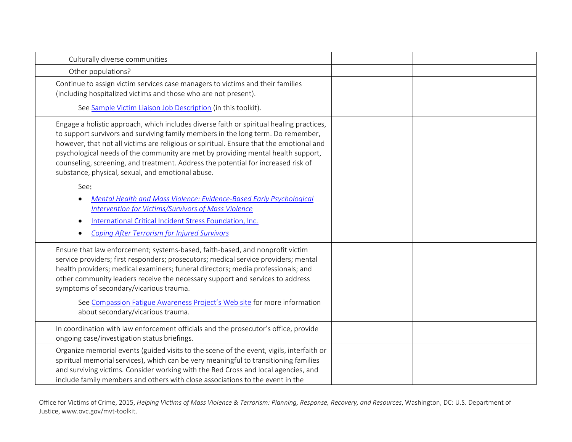| Culturally diverse communities                                                                                                                                                                                                                                                                                                                                                                                                                                                                                                                                                                                                                                                                                |  |
|---------------------------------------------------------------------------------------------------------------------------------------------------------------------------------------------------------------------------------------------------------------------------------------------------------------------------------------------------------------------------------------------------------------------------------------------------------------------------------------------------------------------------------------------------------------------------------------------------------------------------------------------------------------------------------------------------------------|--|
| Other populations?                                                                                                                                                                                                                                                                                                                                                                                                                                                                                                                                                                                                                                                                                            |  |
| Continue to assign victim services case managers to victims and their families<br>(including hospitalized victims and those who are not present).<br>See Sample Victim Liaison Job Description (in this toolkit).                                                                                                                                                                                                                                                                                                                                                                                                                                                                                             |  |
| Engage a holistic approach, which includes diverse faith or spiritual healing practices,<br>to support survivors and surviving family members in the long term. Do remember,<br>however, that not all victims are religious or spiritual. Ensure that the emotional and<br>psychological needs of the community are met by providing mental health support,<br>counseling, screening, and treatment. Address the potential for increased risk of<br>substance, physical, sexual, and emotional abuse.<br>See:<br>Mental Health and Mass Violence: Evidence-Based Early Psychological<br><b>Intervention for Victims/Survivors of Mass Violence</b><br>International Critical Incident Stress Foundation, Inc. |  |
| <b>Coping After Terrorism for Injured Survivors</b>                                                                                                                                                                                                                                                                                                                                                                                                                                                                                                                                                                                                                                                           |  |
| Ensure that law enforcement; systems-based, faith-based, and nonprofit victim<br>service providers; first responders; prosecutors; medical service providers; mental<br>health providers; medical examiners; funeral directors; media professionals; and<br>other community leaders receive the necessary support and services to address<br>symptoms of secondary/vicarious trauma.<br>See Compassion Fatigue Awareness Project's Web site for more information                                                                                                                                                                                                                                              |  |
| about secondary/vicarious trauma.                                                                                                                                                                                                                                                                                                                                                                                                                                                                                                                                                                                                                                                                             |  |
| In coordination with law enforcement officials and the prosecutor's office, provide<br>ongoing case/investigation status briefings.                                                                                                                                                                                                                                                                                                                                                                                                                                                                                                                                                                           |  |
| Organize memorial events (guided visits to the scene of the event, vigils, interfaith or<br>spiritual memorial services), which can be very meaningful to transitioning families<br>and surviving victims. Consider working with the Red Cross and local agencies, and<br>include family members and others with close associations to the event in the                                                                                                                                                                                                                                                                                                                                                       |  |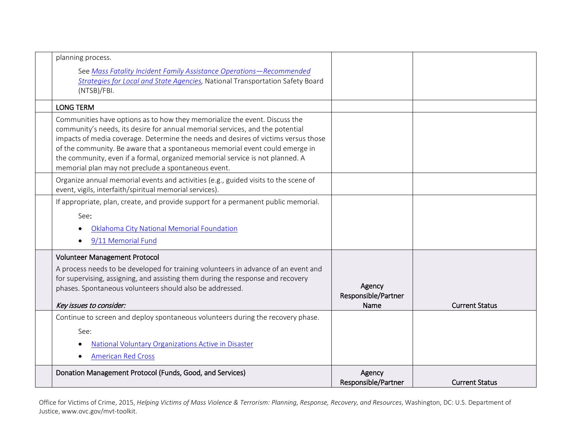| planning process.<br>See Mass Fatality Incident Family Assistance Operations-Recommended<br><b>Strategies for Local and State Agencies</b> , National Transportation Safety Board<br>(NTSB)/FBI.                                                                                                                                                                                                                                                                          |                                       |                       |
|---------------------------------------------------------------------------------------------------------------------------------------------------------------------------------------------------------------------------------------------------------------------------------------------------------------------------------------------------------------------------------------------------------------------------------------------------------------------------|---------------------------------------|-----------------------|
| <b>LONG TERM</b>                                                                                                                                                                                                                                                                                                                                                                                                                                                          |                                       |                       |
| Communities have options as to how they memorialize the event. Discuss the<br>community's needs, its desire for annual memorial services, and the potential<br>impacts of media coverage. Determine the needs and desires of victims versus those<br>of the community. Be aware that a spontaneous memorial event could emerge in<br>the community, even if a formal, organized memorial service is not planned. A<br>memorial plan may not preclude a spontaneous event. |                                       |                       |
| Organize annual memorial events and activities (e.g., guided visits to the scene of<br>event, vigils, interfaith/spiritual memorial services).                                                                                                                                                                                                                                                                                                                            |                                       |                       |
| If appropriate, plan, create, and provide support for a permanent public memorial.<br>See:<br>Oklahoma City National Memorial Foundation<br>9/11 Memorial Fund                                                                                                                                                                                                                                                                                                            |                                       |                       |
| <b>Volunteer Management Protocol</b><br>A process needs to be developed for training volunteers in advance of an event and<br>for supervising, assigning, and assisting them during the response and recovery<br>phases. Spontaneous volunteers should also be addressed.<br>Key issues to consider:                                                                                                                                                                      | Agency<br>Responsible/Partner<br>Name | <b>Current Status</b> |
| Continue to screen and deploy spontaneous volunteers during the recovery phase.<br>See:<br>National Voluntary Organizations Active in Disaster<br><b>American Red Cross</b>                                                                                                                                                                                                                                                                                               |                                       |                       |
| Donation Management Protocol (Funds, Good, and Services)                                                                                                                                                                                                                                                                                                                                                                                                                  | Agency<br>Responsible/Partner         | <b>Current Status</b> |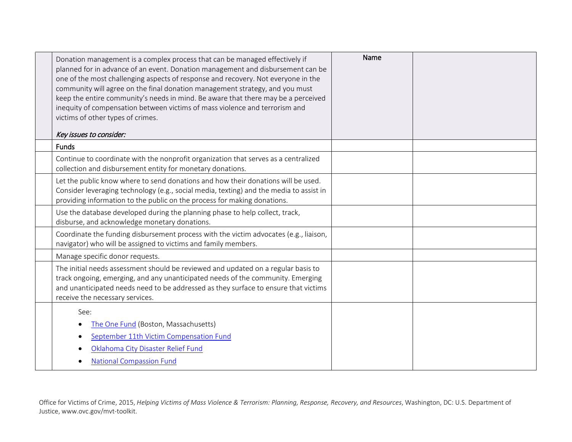| Donation management is a complex process that can be managed effectively if<br>planned for in advance of an event. Donation management and disbursement can be<br>one of the most challenging aspects of response and recovery. Not everyone in the<br>community will agree on the final donation management strategy, and you must<br>keep the entire community's needs in mind. Be aware that there may be a perceived<br>inequity of compensation between victims of mass violence and terrorism and<br>victims of other types of crimes.<br>Key issues to consider: | Name |  |
|-------------------------------------------------------------------------------------------------------------------------------------------------------------------------------------------------------------------------------------------------------------------------------------------------------------------------------------------------------------------------------------------------------------------------------------------------------------------------------------------------------------------------------------------------------------------------|------|--|
| <b>Funds</b>                                                                                                                                                                                                                                                                                                                                                                                                                                                                                                                                                            |      |  |
| Continue to coordinate with the nonprofit organization that serves as a centralized<br>collection and disbursement entity for monetary donations.                                                                                                                                                                                                                                                                                                                                                                                                                       |      |  |
| Let the public know where to send donations and how their donations will be used.<br>Consider leveraging technology (e.g., social media, texting) and the media to assist in<br>providing information to the public on the process for making donations.                                                                                                                                                                                                                                                                                                                |      |  |
| Use the database developed during the planning phase to help collect, track,<br>disburse, and acknowledge monetary donations.                                                                                                                                                                                                                                                                                                                                                                                                                                           |      |  |
| Coordinate the funding disbursement process with the victim advocates (e.g., liaison,<br>navigator) who will be assigned to victims and family members.                                                                                                                                                                                                                                                                                                                                                                                                                 |      |  |
| Manage specific donor requests.                                                                                                                                                                                                                                                                                                                                                                                                                                                                                                                                         |      |  |
| The initial needs assessment should be reviewed and updated on a regular basis to<br>track ongoing, emerging, and any unanticipated needs of the community. Emerging<br>and unanticipated needs need to be addressed as they surface to ensure that victims<br>receive the necessary services.                                                                                                                                                                                                                                                                          |      |  |
| See:<br>The One Fund (Boston, Massachusetts)<br>September 11th Victim Compensation Fund<br>Oklahoma City Disaster Relief Fund<br><b>National Compassion Fund</b>                                                                                                                                                                                                                                                                                                                                                                                                        |      |  |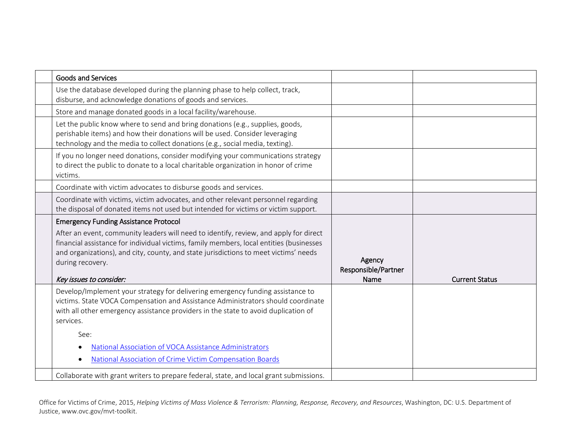| <b>Goods and Services</b>                                                                                                                                                                                                                                                                                                                                                                           |                                       |                       |
|-----------------------------------------------------------------------------------------------------------------------------------------------------------------------------------------------------------------------------------------------------------------------------------------------------------------------------------------------------------------------------------------------------|---------------------------------------|-----------------------|
| Use the database developed during the planning phase to help collect, track,<br>disburse, and acknowledge donations of goods and services.                                                                                                                                                                                                                                                          |                                       |                       |
| Store and manage donated goods in a local facility/warehouse.                                                                                                                                                                                                                                                                                                                                       |                                       |                       |
| Let the public know where to send and bring donations (e.g., supplies, goods,<br>perishable items) and how their donations will be used. Consider leveraging<br>technology and the media to collect donations (e.g., social media, texting).                                                                                                                                                        |                                       |                       |
| If you no longer need donations, consider modifying your communications strategy<br>to direct the public to donate to a local charitable organization in honor of crime<br>victims.                                                                                                                                                                                                                 |                                       |                       |
| Coordinate with victim advocates to disburse goods and services.                                                                                                                                                                                                                                                                                                                                    |                                       |                       |
| Coordinate with victims, victim advocates, and other relevant personnel regarding<br>the disposal of donated items not used but intended for victims or victim support.                                                                                                                                                                                                                             |                                       |                       |
| <b>Emergency Funding Assistance Protocol</b>                                                                                                                                                                                                                                                                                                                                                        |                                       |                       |
| After an event, community leaders will need to identify, review, and apply for direct<br>financial assistance for individual victims, family members, local entities (businesses<br>and organizations), and city, county, and state jurisdictions to meet victims' needs<br>during recovery.<br>Key issues to consider:                                                                             | Agency<br>Responsible/Partner<br>Name | <b>Current Status</b> |
| Develop/Implement your strategy for delivering emergency funding assistance to<br>victims. State VOCA Compensation and Assistance Administrators should coordinate<br>with all other emergency assistance providers in the state to avoid duplication of<br>services.<br>See:<br>National Association of VOCA Assistance Administrators<br>National Association of Crime Victim Compensation Boards |                                       |                       |
| Collaborate with grant writers to prepare federal, state, and local grant submissions.                                                                                                                                                                                                                                                                                                              |                                       |                       |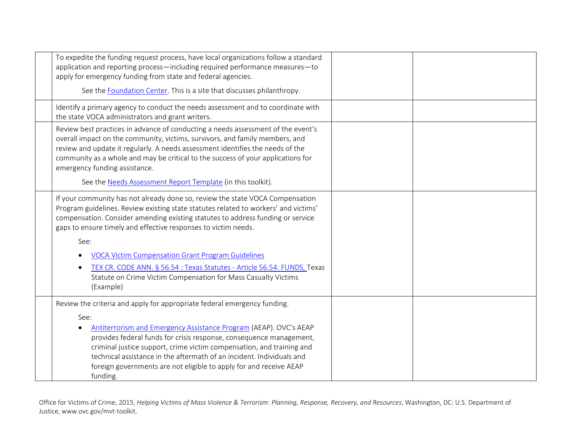|                                                  | To expedite the funding request process, have local organizations follow a standard<br>application and reporting process—including required performance measures—to<br>apply for emergency funding from state and federal agencies.                                                                                                                              |  |
|--------------------------------------------------|------------------------------------------------------------------------------------------------------------------------------------------------------------------------------------------------------------------------------------------------------------------------------------------------------------------------------------------------------------------|--|
|                                                  | See the Foundation Center. This is a site that discusses philanthropy.                                                                                                                                                                                                                                                                                           |  |
| the state VOCA administrators and grant writers. | Identify a primary agency to conduct the needs assessment and to coordinate with                                                                                                                                                                                                                                                                                 |  |
| emergency funding assistance.                    | Review best practices in advance of conducting a needs assessment of the event's<br>overall impact on the community, victims, survivors, and family members, and<br>review and update it regularly. A needs assessment identifies the needs of the<br>community as a whole and may be critical to the success of your applications for                           |  |
|                                                  | See the Needs Assessment Report Template (in this toolkit).                                                                                                                                                                                                                                                                                                      |  |
|                                                  | If your community has not already done so, review the state VOCA Compensation<br>Program guidelines. Review existing state statutes related to workers' and victims'<br>compensation. Consider amending existing statutes to address funding or service<br>gaps to ensure timely and effective responses to victim needs.                                        |  |
| See:                                             |                                                                                                                                                                                                                                                                                                                                                                  |  |
|                                                  | <b>VOCA Victim Compensation Grant Program Guidelines</b>                                                                                                                                                                                                                                                                                                         |  |
| $\bullet$<br>(Example)                           | TEX CR. CODE ANN. § 56.54 : Texas Statutes - Article 56.54: FUNDS, Texas<br>Statute on Crime Victim Compensation for Mass Casualty Victims                                                                                                                                                                                                                       |  |
|                                                  | Review the criteria and apply for appropriate federal emergency funding.                                                                                                                                                                                                                                                                                         |  |
| See:<br>funding.                                 | Antiterrorism and Emergency Assistance Program (AEAP). OVC's AEAP<br>provides federal funds for crisis response, consequence management,<br>criminal justice support, crime victim compensation, and training and<br>technical assistance in the aftermath of an incident. Individuals and<br>foreign governments are not eligible to apply for and receive AEAP |  |